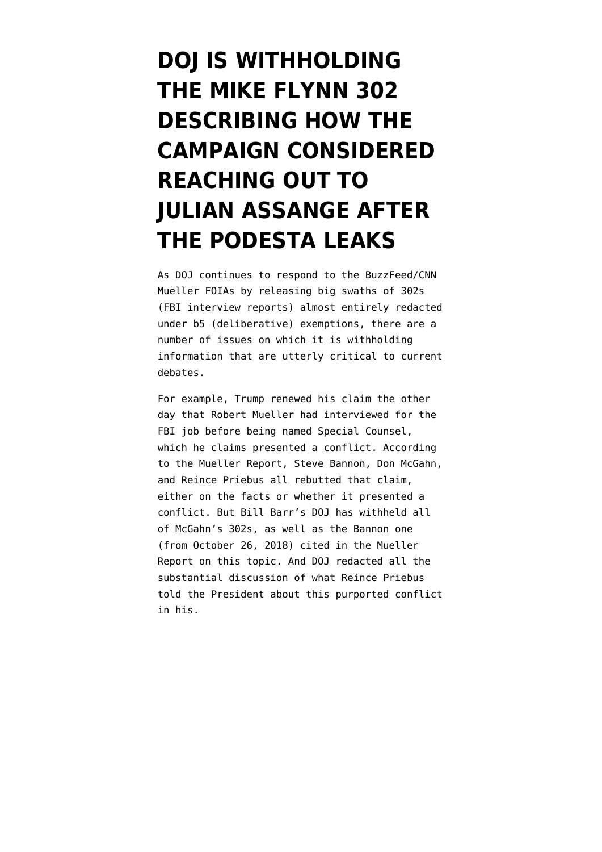## **[DOJ IS WITHHOLDING](https://www.emptywheel.net/2020/02/19/doj-is-withholding-the-mike-flynn-302-describing-how-the-campaign-considered-reaching-out-to-assange-after-the-podesta-leaks/) [THE MIKE FLYNN 302](https://www.emptywheel.net/2020/02/19/doj-is-withholding-the-mike-flynn-302-describing-how-the-campaign-considered-reaching-out-to-assange-after-the-podesta-leaks/) [DESCRIBING HOW THE](https://www.emptywheel.net/2020/02/19/doj-is-withholding-the-mike-flynn-302-describing-how-the-campaign-considered-reaching-out-to-assange-after-the-podesta-leaks/) [CAMPAIGN CONSIDERED](https://www.emptywheel.net/2020/02/19/doj-is-withholding-the-mike-flynn-302-describing-how-the-campaign-considered-reaching-out-to-assange-after-the-podesta-leaks/) [REACHING OUT TO](https://www.emptywheel.net/2020/02/19/doj-is-withholding-the-mike-flynn-302-describing-how-the-campaign-considered-reaching-out-to-assange-after-the-podesta-leaks/) [JULIAN ASSANGE AFTER](https://www.emptywheel.net/2020/02/19/doj-is-withholding-the-mike-flynn-302-describing-how-the-campaign-considered-reaching-out-to-assange-after-the-podesta-leaks/) [THE PODESTA LEAKS](https://www.emptywheel.net/2020/02/19/doj-is-withholding-the-mike-flynn-302-describing-how-the-campaign-considered-reaching-out-to-assange-after-the-podesta-leaks/)**

As DOJ continues to respond to the BuzzFeed/CNN Mueller FOIAs by releasing big swaths of 302s (FBI interview reports) almost entirely redacted under b5 (deliberative) exemptions, there are a number of issues on which it is withholding information that are utterly critical to current debates.

For example, Trump [renewed](https://twitter.com/realdonaldtrump/status/1229756038469079040) his claim the other day that Robert Mueller had interviewed for the FBI job before being named Special Counsel, which he claims presented a conflict. According to the Mueller Report, Steve Bannon, Don McGahn, and Reince Priebus all rebutted that claim, either on the facts or whether it presented a conflict. But Bill Barr's DOJ has withheld all of McGahn's 302s, as well as the Bannon one (from October 26, 2018) cited in [the Mueller](https://assets.documentcloud.org/documents/6002293/190322-Redacted-Mueller-Report.pdf) [Report](https://assets.documentcloud.org/documents/6002293/190322-Redacted-Mueller-Report.pdf) on this topic. And DOJ redacted all the [substantial discussion](https://www.documentcloud.org/documents/6763104-5th-Mueller-Document-FOIA-Response.html#document/p202/a548322) of what Reince Priebus told the President about this purported conflict in his.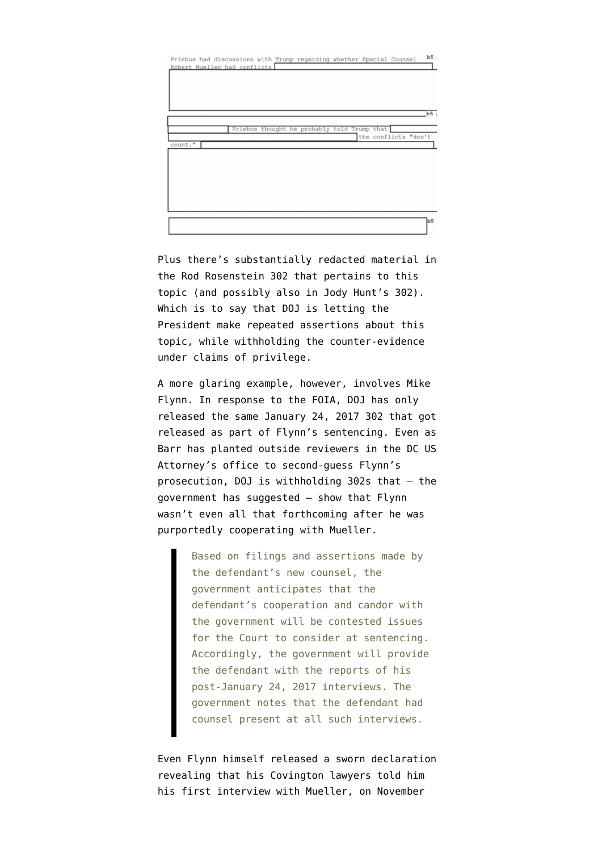Priebus had discussions with Trump regarding whether Special Robert Mueller had conflicts Priebus thought he probably told Trump that the conflicts ount."

Plus there's substantially redacted material in the [Rod Rosenstein 302](https://www.documentcloud.org/documents/6596822-Corsi-302.html#document/p114/a543164) that pertains to this topic (and possibly also in [Jody Hunt's 302](https://www.documentcloud.org/documents/6763104-5th-Mueller-Document-FOIA-Response.html#document/p202/a548322)). Which is to say that DOJ is letting the President make repeated assertions about this topic, while withholding the counter-evidence under claims of privilege.

A more glaring example, however, involves Mike Flynn. In response to the FOIA, DOJ has only released the same [January 24, 2017 302](https://www.documentcloud.org/documents/6596822-Corsi-302.html#document/p286/a543269) that got released as part of Flynn's sentencing. Even as Barr has planted outside reviewers in the DC US Attorney's office to second-guess Flynn's prosecution, DOJ is withholding 302s that — [the](https://www.courtlistener.com/recap/gov.uscourts.dcd.191592/gov.uscourts.dcd.191592.122.0_3.pdf) [government has suggested](https://www.courtlistener.com/recap/gov.uscourts.dcd.191592/gov.uscourts.dcd.191592.122.0_3.pdf) — show that Flynn wasn't even all that forthcoming after he was purportedly cooperating with Mueller.

> Based on filings and assertions made by the defendant's new counsel, the government anticipates that the defendant's cooperation and candor with the government will be contested issues for the Court to consider at sentencing. Accordingly, the government will provide the defendant with the reports of his post-January 24, 2017 interviews. The government notes that the defendant had counsel present at all such interviews.

Even Flynn himself released a [sworn declaration](https://www.courtlistener.com/recap/gov.uscourts.dcd.191592/gov.uscourts.dcd.191592.160.23.pdf) revealing that his Covington lawyers told him his first interview with Mueller, on November